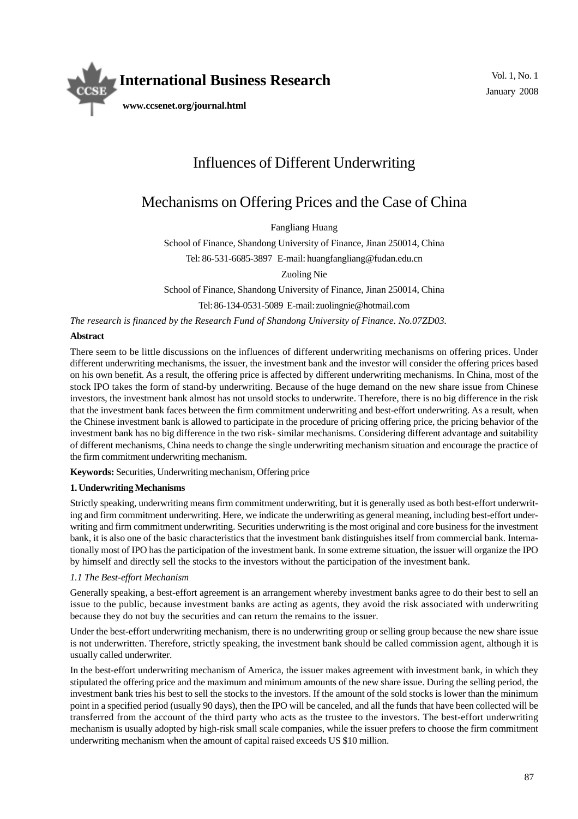

# Influences of Different Underwriting

# Mechanisms on Offering Prices and the Case of China

Fangliang Huang

School of Finance, Shandong University of Finance, Jinan 250014, China Tel: 86-531-6685-3897 E-mail: huangfangliang@fudan.edu.cn

Zuoling Nie

School of Finance, Shandong University of Finance, Jinan 250014, China

Tel: 86-134-0531-5089 E-mail: zuolingnie@hotmail.com

*The research is financed by the Research Fund of Shandong University of Finance. No.07ZD03.*

# **Abstract**

There seem to be little discussions on the influences of different underwriting mechanisms on offering prices. Under different underwriting mechanisms, the issuer, the investment bank and the investor will consider the offering prices based on his own benefit. As a result, the offering price is affected by different underwriting mechanisms. In China, most of the stock IPO takes the form of stand-by underwriting. Because of the huge demand on the new share issue from Chinese investors, the investment bank almost has not unsold stocks to underwrite. Therefore, there is no big difference in the risk that the investment bank faces between the firm commitment underwriting and best-effort underwriting. As a result, when the Chinese investment bank is allowed to participate in the procedure of pricing offering price, the pricing behavior of the investment bank has no big difference in the two risk- similar mechanisms. Considering different advantage and suitability of different mechanisms, China needs to change the single underwriting mechanism situation and encourage the practice of the firm commitment underwriting mechanism.

**Keywords:** Securities, Underwriting mechanism, Offering price

# **1. Underwriting Mechanisms**

Strictly speaking, underwriting means firm commitment underwriting, but it is generally used as both best-effort underwriting and firm commitment underwriting. Here, we indicate the underwriting as general meaning, including best-effort underwriting and firm commitment underwriting. Securities underwriting is the most original and core business for the investment bank, it is also one of the basic characteristics that the investment bank distinguishes itself from commercial bank. Internationally most of IPO has the participation of the investment bank. In some extreme situation, the issuer will organize the IPO by himself and directly sell the stocks to the investors without the participation of the investment bank.

# *1.1 The Best-effort Mechanism*

Generally speaking, a best-effort agreement is an arrangement whereby investment banks agree to do their best to sell an issue to the public, because investment banks are acting as agents, they avoid the risk associated with underwriting because they do not buy the securities and can return the remains to the issuer.

Under the best-effort underwriting mechanism, there is no underwriting group or selling group because the new share issue is not underwritten. Therefore, strictly speaking, the investment bank should be called commission agent, although it is usually called underwriter.

In the best-effort underwriting mechanism of America, the issuer makes agreement with investment bank, in which they stipulated the offering price and the maximum and minimum amounts of the new share issue. During the selling period, the investment bank tries his best to sell the stocks to the investors. If the amount of the sold stocks is lower than the minimum point in a specified period (usually 90 days), then the IPO will be canceled, and all the funds that have been collected will be transferred from the account of the third party who acts as the trustee to the investors. The best-effort underwriting mechanism is usually adopted by high-risk small scale companies, while the issuer prefers to choose the firm commitment underwriting mechanism when the amount of capital raised exceeds US \$10 million.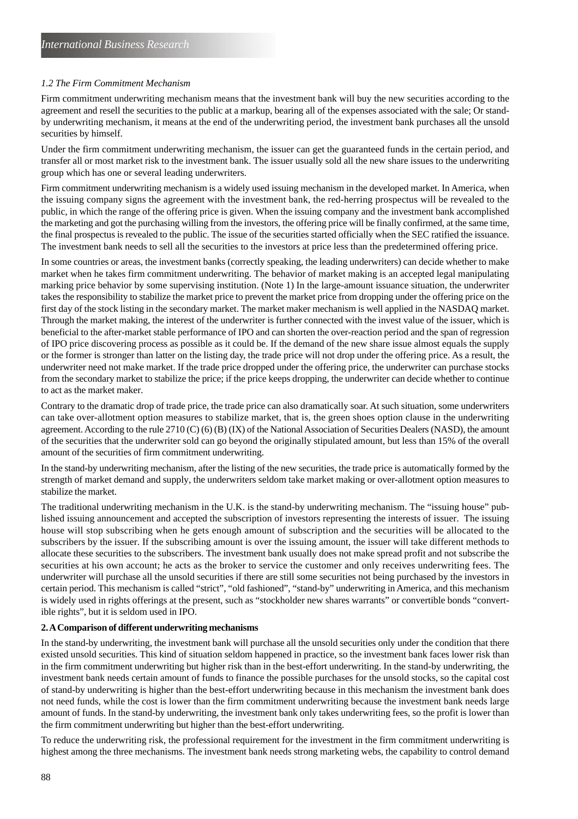# *1.2 The Firm Commitment Mechanism*

Firm commitment underwriting mechanism means that the investment bank will buy the new securities according to the agreement and resell the securities to the public at a markup, bearing all of the expenses associated with the sale; Or standby underwriting mechanism, it means at the end of the underwriting period, the investment bank purchases all the unsold securities by himself.

Under the firm commitment underwriting mechanism, the issuer can get the guaranteed funds in the certain period, and transfer all or most market risk to the investment bank. The issuer usually sold all the new share issues to the underwriting group which has one or several leading underwriters.

Firm commitment underwriting mechanism is a widely used issuing mechanism in the developed market. In America, when the issuing company signs the agreement with the investment bank, the red-herring prospectus will be revealed to the public, in which the range of the offering price is given. When the issuing company and the investment bank accomplished the marketing and got the purchasing willing from the investors, the offering price will be finally confirmed, at the same time, the final prospectus is revealed to the public. The issue of the securities started officially when the SEC ratified the issuance. The investment bank needs to sell all the securities to the investors at price less than the predetermined offering price.

In some countries or areas, the investment banks (correctly speaking, the leading underwriters) can decide whether to make market when he takes firm commitment underwriting. The behavior of market making is an accepted legal manipulating marking price behavior by some supervising institution. (Note 1) In the large-amount issuance situation, the underwriter takes the responsibility to stabilize the market price to prevent the market price from dropping under the offering price on the first day of the stock listing in the secondary market. The market maker mechanism is well applied in the NASDAQ market. Through the market making, the interest of the underwriter is further connected with the invest value of the issuer, which is beneficial to the after-market stable performance of IPO and can shorten the over-reaction period and the span of regression of IPO price discovering process as possible as it could be. If the demand of the new share issue almost equals the supply or the former is stronger than latter on the listing day, the trade price will not drop under the offering price. As a result, the underwriter need not make market. If the trade price dropped under the offering price, the underwriter can purchase stocks from the secondary market to stabilize the price; if the price keeps dropping, the underwriter can decide whether to continue to act as the market maker.

Contrary to the dramatic drop of trade price, the trade price can also dramatically soar. At such situation, some underwriters can take over-allotment option measures to stabilize market, that is, the green shoes option clause in the underwriting agreement. According to the rule 2710 (C) (6) (B) (IX) of the National Association of Securities Dealers (NASD), the amount of the securities that the underwriter sold can go beyond the originally stipulated amount, but less than 15% of the overall amount of the securities of firm commitment underwriting.

In the stand-by underwriting mechanism, after the listing of the new securities, the trade price is automatically formed by the strength of market demand and supply, the underwriters seldom take market making or over-allotment option measures to stabilize the market.

The traditional underwriting mechanism in the U.K. is the stand-by underwriting mechanism. The "issuing house" published issuing announcement and accepted the subscription of investors representing the interests of issuer. The issuing house will stop subscribing when he gets enough amount of subscription and the securities will be allocated to the subscribers by the issuer. If the subscribing amount is over the issuing amount, the issuer will take different methods to allocate these securities to the subscribers. The investment bank usually does not make spread profit and not subscribe the securities at his own account; he acts as the broker to service the customer and only receives underwriting fees. The underwriter will purchase all the unsold securities if there are still some securities not being purchased by the investors in certain period. This mechanism is called "strict", "old fashioned", "stand-by" underwriting in America, and this mechanism is widely used in rights offerings at the present, such as "stockholder new shares warrants" or convertible bonds "convertible rights", but it is seldom used in IPO.

# **2. A Comparison of different underwriting mechanisms**

In the stand-by underwriting, the investment bank will purchase all the unsold securities only under the condition that there existed unsold securities. This kind of situation seldom happened in practice, so the investment bank faces lower risk than in the firm commitment underwriting but higher risk than in the best-effort underwriting. In the stand-by underwriting, the investment bank needs certain amount of funds to finance the possible purchases for the unsold stocks, so the capital cost of stand-by underwriting is higher than the best-effort underwriting because in this mechanism the investment bank does not need funds, while the cost is lower than the firm commitment underwriting because the investment bank needs large amount of funds. In the stand-by underwriting, the investment bank only takes underwriting fees, so the profit is lower than the firm commitment underwriting but higher than the best-effort underwriting.

To reduce the underwriting risk, the professional requirement for the investment in the firm commitment underwriting is highest among the three mechanisms. The investment bank needs strong marketing webs, the capability to control demand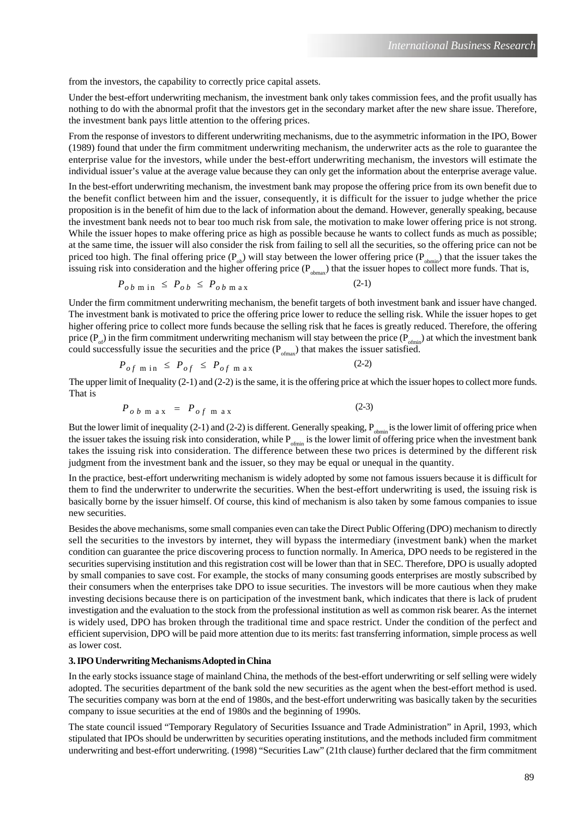from the investors, the capability to correctly price capital assets.

Under the best-effort underwriting mechanism, the investment bank only takes commission fees, and the profit usually has nothing to do with the abnormal profit that the investors get in the secondary market after the new share issue. Therefore, the investment bank pays little attention to the offering prices.

From the response of investors to different underwriting mechanisms, due to the asymmetric information in the IPO, Bower (1989) found that under the firm commitment underwriting mechanism, the underwriter acts as the role to guarantee the enterprise value for the investors, while under the best-effort underwriting mechanism, the investors will estimate the individual issuer's value at the average value because they can only get the information about the enterprise average value.

In the best-effort underwriting mechanism, the investment bank may propose the offering price from its own benefit due to the benefit conflict between him and the issuer, consequently, it is difficult for the issuer to judge whether the price proposition is in the benefit of him due to the lack of information about the demand. However, generally speaking, because the investment bank needs not to bear too much risk from sale, the motivation to make lower offering price is not strong. While the issuer hopes to make offering price as high as possible because he wants to collect funds as much as possible; at the same time, the issuer will also consider the risk from failing to sell all the securities, so the offering price can not be priced too high. The final offering price  $(P_{ob})$  will stay between the lower offering price  $(P_{obmin})$  that the issuer takes the issuing risk into consideration and the higher offering price  $(P_{\text{ohmar}})$  that the issuer hopes to collect more funds. That is,

$$
P_{ob \min} \le P_{ob} \le P_{ob \max} \tag{2-1}
$$

Under the firm commitment underwriting mechanism, the benefit targets of both investment bank and issuer have changed. The investment bank is motivated to price the offering price lower to reduce the selling risk. While the issuer hopes to get higher offering price to collect more funds because the selling risk that he faces is greatly reduced. Therefore, the offering price  $(P_{of})$  in the firm commitment underwriting mechanism will stay between the price  $(P_{ofmin})$  at which the investment bank could successfully issue the securities and the price  $(P_{\text{ofmax}})$  that makes the issuer satisfied.

$$
P_{of \min} \le P_{of} \le P_{of \max} \tag{2-2}
$$

The upper limit of Inequality (2-1) and (2-2) is the same, it is the offering price at which the issuer hopes to collect more funds. That is

$$
P_{o\ b\ m\ a\ x} = P_{o\ f\ m\ a\ x} \tag{2-3}
$$

But the lower limit of inequality (2-1) and (2-2) is different. Generally speaking,  $P_{\text{obmin}}$  is the lower limit of offering price when the issuer takes the issuing risk into consideration, while  $P_{\text{ofmin}}$  is the lower limit of offering price when the investment bank takes the issuing risk into consideration. The difference between these two prices is determined by the different risk judgment from the investment bank and the issuer, so they may be equal or unequal in the quantity.

In the practice, best-effort underwriting mechanism is widely adopted by some not famous issuers because it is difficult for them to find the underwriter to underwrite the securities. When the best-effort underwriting is used, the issuing risk is basically borne by the issuer himself. Of course, this kind of mechanism is also taken by some famous companies to issue new securities.

Besides the above mechanisms, some small companies even can take the Direct Public Offering (DPO) mechanism to directly sell the securities to the investors by internet, they will bypass the intermediary (investment bank) when the market condition can guarantee the price discovering process to function normally. In America, DPO needs to be registered in the securities supervising institution and this registration cost will be lower than that in SEC. Therefore, DPO is usually adopted by small companies to save cost. For example, the stocks of many consuming goods enterprises are mostly subscribed by their consumers when the enterprises take DPO to issue securities. The investors will be more cautious when they make investing decisions because there is on participation of the investment bank, which indicates that there is lack of prudent investigation and the evaluation to the stock from the professional institution as well as common risk bearer. As the internet is widely used, DPO has broken through the traditional time and space restrict. Under the condition of the perfect and efficient supervision, DPO will be paid more attention due to its merits: fast transferring information, simple process as well as lower cost.

#### **3. IPO Underwriting Mechanisms Adopted in China**

In the early stocks issuance stage of mainland China, the methods of the best-effort underwriting or self selling were widely adopted. The securities department of the bank sold the new securities as the agent when the best-effort method is used. The securities company was born at the end of 1980s, and the best-effort underwriting was basically taken by the securities company to issue securities at the end of 1980s and the beginning of 1990s.

The state council issued "Temporary Regulatory of Securities Issuance and Trade Administration" in April, 1993, which stipulated that IPOs should be underwritten by securities operating institutions, and the methods included firm commitment underwriting and best-effort underwriting. (1998) "Securities Law" (21th clause) further declared that the firm commitment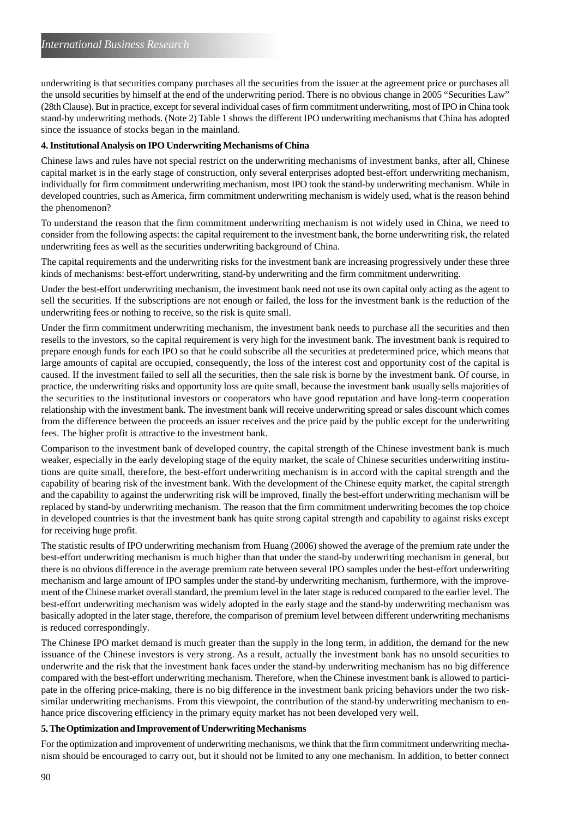underwriting is that securities company purchases all the securities from the issuer at the agreement price or purchases all the unsold securities by himself at the end of the underwriting period. There is no obvious change in 2005 "Securities Law" (28th Clause). But in practice, except for several individual cases of firm commitment underwriting, most of IPO in China took stand-by underwriting methods. (Note 2) Table 1 shows the different IPO underwriting mechanisms that China has adopted since the issuance of stocks began in the mainland.

# **4. Institutional Analysis on IPO Underwriting Mechanisms of China**

Chinese laws and rules have not special restrict on the underwriting mechanisms of investment banks, after all, Chinese capital market is in the early stage of construction, only several enterprises adopted best-effort underwriting mechanism, individually for firm commitment underwriting mechanism, most IPO took the stand-by underwriting mechanism. While in developed countries, such as America, firm commitment underwriting mechanism is widely used, what is the reason behind the phenomenon?

To understand the reason that the firm commitment underwriting mechanism is not widely used in China, we need to consider from the following aspects: the capital requirement to the investment bank, the borne underwriting risk, the related underwriting fees as well as the securities underwriting background of China.

The capital requirements and the underwriting risks for the investment bank are increasing progressively under these three kinds of mechanisms: best-effort underwriting, stand-by underwriting and the firm commitment underwriting.

Under the best-effort underwriting mechanism, the investment bank need not use its own capital only acting as the agent to sell the securities. If the subscriptions are not enough or failed, the loss for the investment bank is the reduction of the underwriting fees or nothing to receive, so the risk is quite small.

Under the firm commitment underwriting mechanism, the investment bank needs to purchase all the securities and then resells to the investors, so the capital requirement is very high for the investment bank. The investment bank is required to prepare enough funds for each IPO so that he could subscribe all the securities at predetermined price, which means that large amounts of capital are occupied, consequently, the loss of the interest cost and opportunity cost of the capital is caused. If the investment failed to sell all the securities, then the sale risk is borne by the investment bank. Of course, in practice, the underwriting risks and opportunity loss are quite small, because the investment bank usually sells majorities of the securities to the institutional investors or cooperators who have good reputation and have long-term cooperation relationship with the investment bank. The investment bank will receive underwriting spread or sales discount which comes from the difference between the proceeds an issuer receives and the price paid by the public except for the underwriting fees. The higher profit is attractive to the investment bank.

Comparison to the investment bank of developed country, the capital strength of the Chinese investment bank is much weaker, especially in the early developing stage of the equity market, the scale of Chinese securities underwriting institutions are quite small, therefore, the best-effort underwriting mechanism is in accord with the capital strength and the capability of bearing risk of the investment bank. With the development of the Chinese equity market, the capital strength and the capability to against the underwriting risk will be improved, finally the best-effort underwriting mechanism will be replaced by stand-by underwriting mechanism. The reason that the firm commitment underwriting becomes the top choice in developed countries is that the investment bank has quite strong capital strength and capability to against risks except for receiving huge profit.

The statistic results of IPO underwriting mechanism from Huang (2006) showed the average of the premium rate under the best-effort underwriting mechanism is much higher than that under the stand-by underwriting mechanism in general, but there is no obvious difference in the average premium rate between several IPO samples under the best-effort underwriting mechanism and large amount of IPO samples under the stand-by underwriting mechanism, furthermore, with the improvement of the Chinese market overall standard, the premium level in the later stage is reduced compared to the earlier level. The best-effort underwriting mechanism was widely adopted in the early stage and the stand-by underwriting mechanism was basically adopted in the later stage, therefore, the comparison of premium level between different underwriting mechanisms is reduced correspondingly.

The Chinese IPO market demand is much greater than the supply in the long term, in addition, the demand for the new issuance of the Chinese investors is very strong. As a result, actually the investment bank has no unsold securities to underwrite and the risk that the investment bank faces under the stand-by underwriting mechanism has no big difference compared with the best-effort underwriting mechanism. Therefore, when the Chinese investment bank is allowed to participate in the offering price-making, there is no big difference in the investment bank pricing behaviors under the two risksimilar underwriting mechanisms. From this viewpoint, the contribution of the stand-by underwriting mechanism to enhance price discovering efficiency in the primary equity market has not been developed very well.

# **5. The Optimization and Improvement of Underwriting Mechanisms**

For the optimization and improvement of underwriting mechanisms, we think that the firm commitment underwriting mechanism should be encouraged to carry out, but it should not be limited to any one mechanism. In addition, to better connect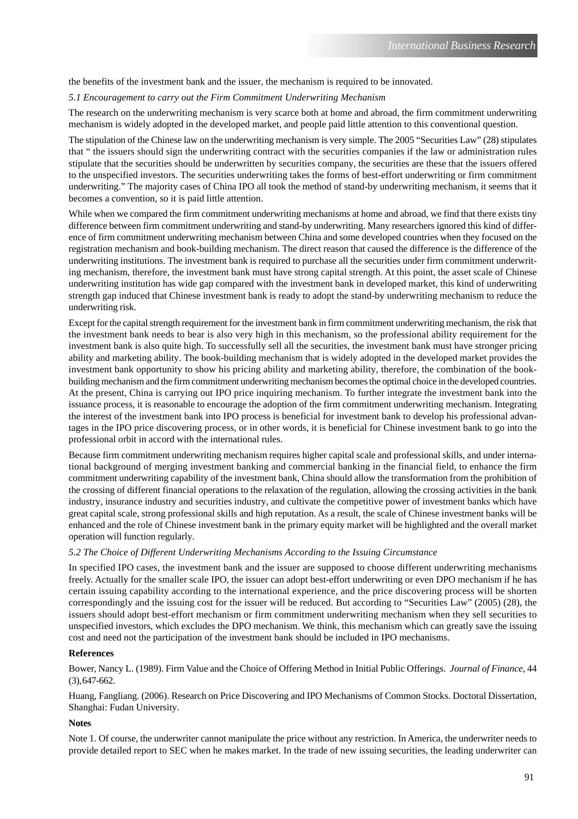the benefits of the investment bank and the issuer, the mechanism is required to be innovated.

#### *5.1 Encouragement to carry out the Firm Commitment Underwriting Mechanism*

The research on the underwriting mechanism is very scarce both at home and abroad, the firm commitment underwriting mechanism is widely adopted in the developed market, and people paid little attention to this conventional question.

The stipulation of the Chinese law on the underwriting mechanism is very simple. The 2005 "Securities Law" (28) stipulates that " the issuers should sign the underwriting contract with the securities companies if the law or administration rules stipulate that the securities should be underwritten by securities company, the securities are these that the issuers offered to the unspecified investors. The securities underwriting takes the forms of best-effort underwriting or firm commitment underwriting." The majority cases of China IPO all took the method of stand-by underwriting mechanism, it seems that it becomes a convention, so it is paid little attention.

While when we compared the firm commitment underwriting mechanisms at home and abroad, we find that there exists tiny difference between firm commitment underwriting and stand-by underwriting. Many researchers ignored this kind of difference of firm commitment underwriting mechanism between China and some developed countries when they focused on the registration mechanism and book-building mechanism. The direct reason that caused the difference is the difference of the underwriting institutions. The investment bank is required to purchase all the securities under firm commitment underwriting mechanism, therefore, the investment bank must have strong capital strength. At this point, the asset scale of Chinese underwriting institution has wide gap compared with the investment bank in developed market, this kind of underwriting strength gap induced that Chinese investment bank is ready to adopt the stand-by underwriting mechanism to reduce the underwriting risk.

Except for the capital strength requirement for the investment bank in firm commitment underwriting mechanism, the risk that the investment bank needs to bear is also very high in this mechanism, so the professional ability requirement for the investment bank is also quite high. To successfully sell all the securities, the investment bank must have stronger pricing ability and marketing ability. The book-building mechanism that is widely adopted in the developed market provides the investment bank opportunity to show his pricing ability and marketing ability, therefore, the combination of the bookbuilding mechanism and the firm commitment underwriting mechanism becomes the optimal choice in the developed countries. At the present, China is carrying out IPO price inquiring mechanism. To further integrate the investment bank into the issuance process, it is reasonable to encourage the adoption of the firm commitment underwriting mechanism. Integrating the interest of the investment bank into IPO process is beneficial for investment bank to develop his professional advantages in the IPO price discovering process, or in other words, it is beneficial for Chinese investment bank to go into the professional orbit in accord with the international rules.

Because firm commitment underwriting mechanism requires higher capital scale and professional skills, and under international background of merging investment banking and commercial banking in the financial field, to enhance the firm commitment underwriting capability of the investment bank, China should allow the transformation from the prohibition of the crossing of different financial operations to the relaxation of the regulation, allowing the crossing activities in the bank industry, insurance industry and securities industry, and cultivate the competitive power of investment banks which have great capital scale, strong professional skills and high reputation. As a result, the scale of Chinese investment banks will be enhanced and the role of Chinese investment bank in the primary equity market will be highlighted and the overall market operation will function regularly.

#### *5.2 The Choice of Different Underwriting Mechanisms According to the Issuing Circumstance*

In specified IPO cases, the investment bank and the issuer are supposed to choose different underwriting mechanisms freely. Actually for the smaller scale IPO, the issuer can adopt best-effort underwriting or even DPO mechanism if he has certain issuing capability according to the international experience, and the price discovering process will be shorten correspondingly and the issuing cost for the issuer will be reduced. But according to "Securities Law" (2005) (28), the issuers should adopt best-effort mechanism or firm commitment underwriting mechanism when they sell securities to unspecified investors, which excludes the DPO mechanism. We think, this mechanism which can greatly save the issuing cost and need not the participation of the investment bank should be included in IPO mechanisms.

#### **References**

Bower, Nancy L. (1989). Firm Value and the Choice of Offering Method in Initial Public Offerings. *Journal of Finance*, 44 (3), 647-662.

Huang, Fangliang. (2006). Research on Price Discovering and IPO Mechanisms of Common Stocks. Doctoral Dissertation, Shanghai: Fudan University.

### **Notes**

Note 1. Of course, the underwriter cannot manipulate the price without any restriction. In America, the underwriter needs to provide detailed report to SEC when he makes market. In the trade of new issuing securities, the leading underwriter can